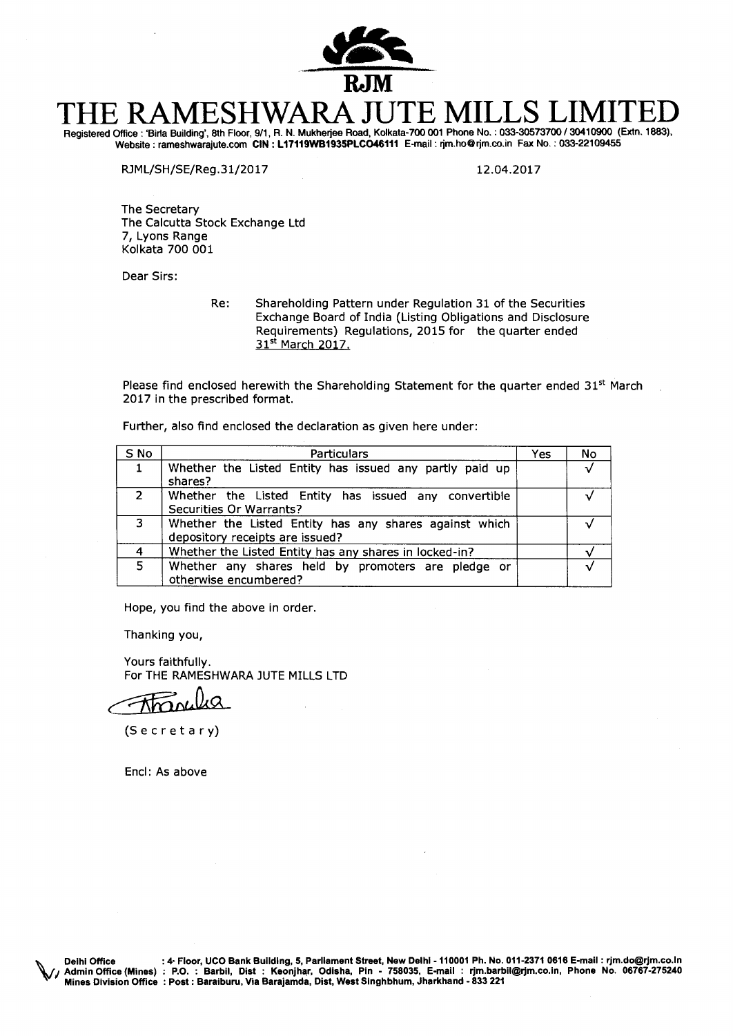

# **THE RAMESHWARA JUTE MILLS LIMITED**  Registered Office : 'Bide Building', 8th Floor, 9/1, R. N. Mukherjee Road, Kolkata-700 001 Phone No. : 033-30573700 / 30410900 (Extn. 1883),

Website : rameshwarajute.com CIN **: L17119WB1935PLCO46111** E-mail : rjm.ho@rjm.co.in Fax No. : 033-22109455

RJML/SH/SE/Reg.31/2017 12.04.2017

The Secretary The Calcutta Stock Exchange Ltd 7, Lyons Range Kolkata 700 001

Dear Sirs:

Re: Shareholding Pattern under Regulation 31 of the Securities Exchange Board of India (Listing Obligations and Disclosure Requirements) Regulations, 2015 for the quarter ended 31st March 2017.

Please find enclosed herewith the Shareholding Statement for the quarter ended  $31<sup>st</sup>$  March 2017 in the prescribed format.

Further, also find enclosed the declaration as given here under:

| S No           | <b>Particulars</b>                                                                        | Yes | No |
|----------------|-------------------------------------------------------------------------------------------|-----|----|
|                | Whether the Listed Entity has issued any partly paid up<br>shares?                        |     |    |
| $\overline{2}$ | Whether the Listed Entity has issued any convertible<br><b>Securities Or Warrants?</b>    |     |    |
| 3              | Whether the Listed Entity has any shares against which<br>depository receipts are issued? |     |    |
|                | Whether the Listed Entity has any shares in locked-in?                                    |     |    |
| 5              | Whether any shares held by promoters are pledge or<br>otherwise encumbered?               |     |    |

Hope, you find the above in order.

Thanking you,

Yours faithfully. For THE RAMESHWARA JUTE MILLS LTD

(Secretary)

Encl: As above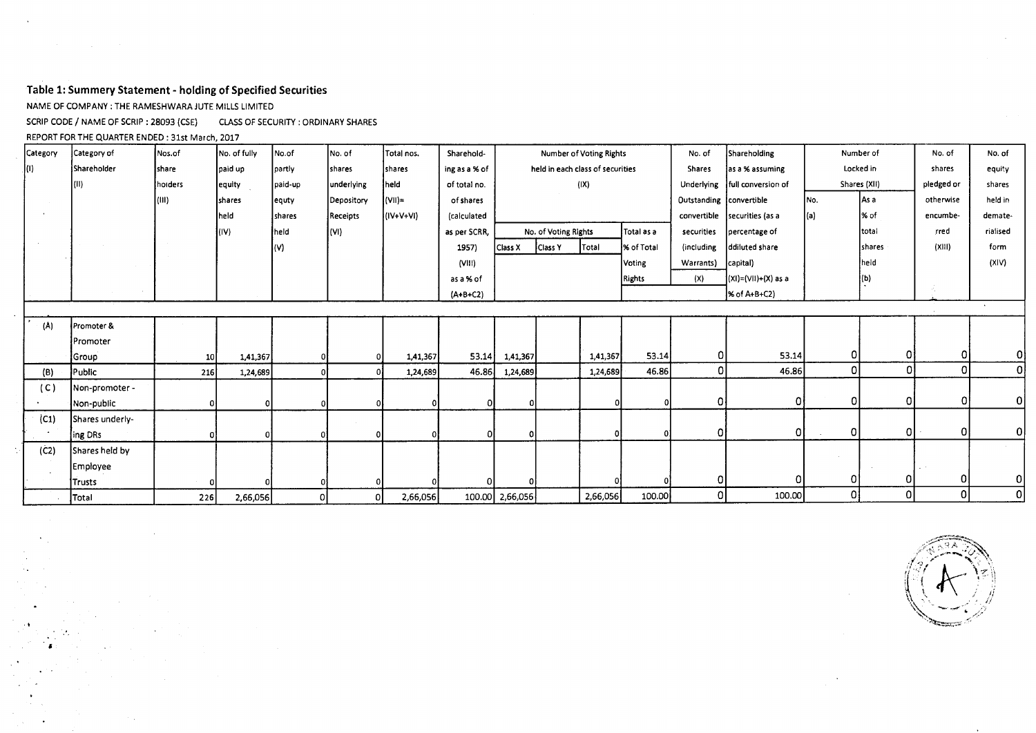## **Table 1: Summery Statement - holding of Specified Securities**

NAME OF COMPANY : THE RAMESHWARA JUTE MILLS LIMITED

SCRIP CODE / NAME OF SCRIP : 28093 (CSE) CLASS OF SECURITY : ORDINARY SHARES

REPORT FOR THE QUARTER ENDED : 31st March, 2017

| Category | Category of        | Nos.of          | No. of fully | No.of   | No. of     | Total nos.    | Sharehold-    |                 |                                  | Number of Voting Rights |               | No. of                  | Shareholding                 |      | Number of      |           | No. of       |
|----------|--------------------|-----------------|--------------|---------|------------|---------------|---------------|-----------------|----------------------------------|-------------------------|---------------|-------------------------|------------------------------|------|----------------|-----------|--------------|
| IO).     | <b>Shareholder</b> | share           | paid up      | partly  | shares     | <b>shares</b> | ing as a % of |                 | held in each class of securities |                         |               | <b>Shares</b>           | as a % assuming              |      | Locked in      |           | equity       |
|          | (11)               | holders         | equity       | paid-up | underlying | held          | of total no.  |                 |                                  | (IX)                    |               | Underlying              | full conversion of           |      | Shares (XII)   |           | shares       |
|          |                    | (III)           | Ishares      | lequty  | Depository | (VII)≒        | of shares     |                 |                                  |                         |               | Outstanding convertible |                              | lNo. | l As a         | otherwise | held in      |
|          |                    |                 | held         | shares  | Receipts   | $(IV+V+VI)$   | (calculated   |                 |                                  |                         |               |                         | convertible securities (as a |      | % of           | encumbe-  | demate-      |
|          |                    |                 | (IV)         | held    | (WI)       |               | as per SCRR,  |                 | No. of Voting Rights             |                         | Total as a    | securities              | percentage of                |      | <b>Itotal</b>  | rred      | rialised     |
|          |                    |                 |              |         |            |               | 1957)         | Class X         | <b>Class Y</b>                   | Total                   | % of Total    | (including              | ddiluted share               |      | <b>Ishares</b> | (XIII)    | form         |
|          |                    |                 |              |         |            |               | (VIII)        |                 |                                  |                         | Voting        | Warrants)               | capital)                     |      | held           |           | (XIV)        |
|          |                    |                 |              |         |            |               | as a % of     |                 |                                  |                         | <b>Rights</b> | (X)                     | (XI)=(VII)+(X) as a          |      | l(b)           |           |              |
|          |                    |                 |              |         |            |               | $(A+B+C2)$    |                 |                                  |                         |               |                         | % of A+B+C2)                 |      |                |           |              |
|          |                    |                 |              |         |            |               |               |                 |                                  |                         |               |                         |                              |      |                |           |              |
| (A)      | Promoter &         |                 |              |         |            |               |               |                 |                                  |                         |               |                         |                              |      |                |           |              |
|          | Promoter           |                 |              |         |            |               |               |                 |                                  |                         |               |                         |                              |      |                |           |              |
|          | Group              | 10 <sub>1</sub> | 1,41,367     | 01      |            | 1,41,367      | 53.14         | 1,41,367        |                                  | 1,41,367                | 53.14         | 0                       | 53.14                        | 01   | 0              | 0         | ٥l           |
| (B)      | Public             | 216             | 1,24,689     | οl      |            | 1,24,689      | 46.86         | 1,24,689        |                                  | 1,24,689                | 46.86         | $\Omega$                | 46.86                        | οI   | $\overline{0}$ | $\Omega$  | $\mathbf{0}$ |
| (C)      | Non-promoter -     |                 |              |         |            |               |               |                 |                                  |                         |               |                         |                              |      |                |           |              |
|          | Non-public         |                 |              |         |            |               |               |                 |                                  |                         |               | 0                       | 0                            | οI   | $\mathbf{0}$   | $\Omega$  | 0            |
| (C1)     | Shares underly-    |                 |              |         |            |               |               |                 |                                  |                         |               |                         |                              |      |                |           |              |
|          | ing DRs            |                 |              |         |            |               |               |                 |                                  |                         |               | 0                       | οI                           | οI   | 0              | $\Omega$  | οl           |
| (C2)     | Shares held by     |                 |              |         |            |               |               |                 |                                  |                         |               |                         |                              |      |                |           |              |
|          | Employee           |                 |              |         |            |               |               |                 |                                  |                         |               |                         |                              |      |                |           |              |
|          | Trusts             |                 |              |         |            |               |               |                 |                                  |                         |               | 0                       |                              | 01   | 0              | 0         | οI           |
|          | Total              | 226             | 2,66,056     | 0       | 0          | 2,66,056      |               | 100.00 2,66,056 |                                  | 2,66,056                | 100.00        | $\Omega$                | 100.00                       | 0ļ   | $\Omega$       | 0         | $\mathsf{o}$ |

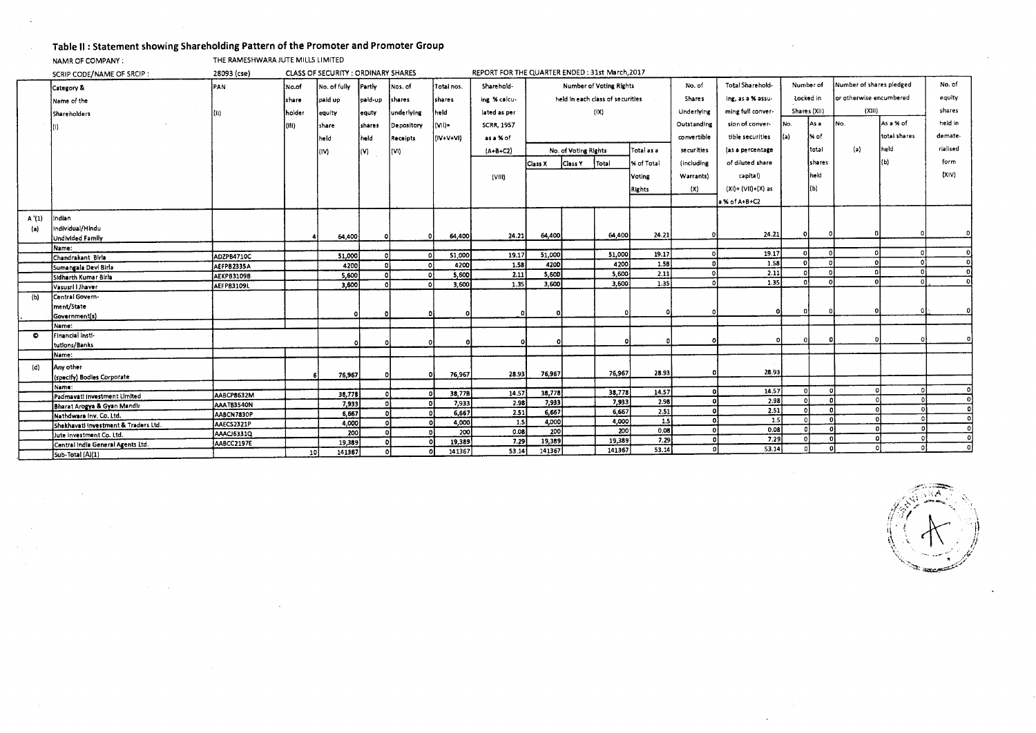## **Table II : Statement showing Shareholding Pattern of the Promoter and Promoter Group**

NAMR OF COMPANY : THE RAMESHWARA JUTE MILLS LIMITED

|       | SCRIP CODE/NAME OF SRCIP:            |             | REPORT FOR THE QUARTER ENDED : 31st March, 2017 |              |               |                      |                  |                   |                                |                                  |              |                          |                      |                    |          |              |                          |              |          |
|-------|--------------------------------------|-------------|-------------------------------------------------|--------------|---------------|----------------------|------------------|-------------------|--------------------------------|----------------------------------|--------------|--------------------------|----------------------|--------------------|----------|--------------|--------------------------|--------------|----------|
|       | Category &                           | <b>IPAN</b> | No.of                                           | No. of fully | <b>Partiv</b> | Nos. of              | Total nos.       | Sharehold-        | <b>Number of Voting Rights</b> |                                  |              |                          | No. of               | Total Sharehold-   |          | Number of    | Number of shares pledged |              | No. of   |
|       | Name of the                          |             | share                                           | paid up      | paid-up       | shares               | İshares          | ing % calcu-      |                                | held in each class of securities |              |                          | Shares               | ing, as a % assu-  |          | Locked in    | lar atherwise encumbered |              | equity   |
|       | Shareholders                         | (i)         | holder                                          | equity       | equty         | underlying           | held             | lated as per      |                                |                                  | (1)          |                          | Underlying           | ming full conver-  |          | Shares (XII) | (X111)                   |              | shares   |
|       |                                      |             |                                                 |              |               |                      |                  |                   |                                |                                  |              |                          | Outstanding          | sion of conver-    | INo.     | As a         | No.                      | As a % of    | held in  |
|       |                                      |             | (Ili)                                           | share        | shares        | Depository           | l(Vil)=          | <b>SCRR, 1957</b> |                                |                                  |              |                          |                      |                    |          |              |                          |              |          |
|       |                                      |             |                                                 | held         | held          | Receipts             | (IV+V+VI)        | as a % of         |                                |                                  |              |                          | convertible          | tible securities   |          | % of         |                          | total shares | demate-  |
|       |                                      |             |                                                 | (IV)         | (V)           | (VI)                 |                  | $(A+B+C2)$        |                                | No. of Voting Rights             |              | Total as a               | securities           | (as a percentage   |          | total        | ${a}$                    | held         | rialised |
|       |                                      |             |                                                 |              |               |                      |                  |                   | Class X                        | Class Y                          | Total        | % of Total               | <b>lincluding</b>    | of diluted share   |          | shares       |                          | (b)          | form     |
|       |                                      |             |                                                 |              |               |                      |                  |                   |                                |                                  |              |                          |                      |                    |          | İheld        |                          |              | (X V)    |
|       |                                      |             |                                                 |              |               |                      |                  | (VIII)            |                                | Voting                           |              | Warrants)                | capital)             |                    |          |              |                          |              |          |
|       |                                      |             |                                                 |              |               |                      |                  |                   |                                | <b>Rights</b>                    |              |                          | (X)                  | (XI)= (VII)+(X) as |          | (Ы)          |                          |              |          |
|       |                                      |             |                                                 |              |               |                      |                  |                   |                                |                                  |              |                          |                      | a % of A+B+C2      |          |              |                          |              |          |
|       |                                      |             |                                                 |              |               |                      |                  |                   |                                |                                  |              |                          |                      |                    |          |              |                          |              |          |
| A'(1) | Indian                               |             |                                                 |              |               |                      |                  |                   |                                |                                  |              |                          |                      |                    |          |              |                          |              |          |
| (a)   | Individual/Hindu<br>Undivided Family |             |                                                 | 64,400       | $\Omega$      |                      | 64,400           | 24.21             | 64,400                         |                                  | 64,400       | 24.21                    |                      | 24.21              |          |              |                          |              |          |
|       |                                      |             |                                                 |              |               |                      |                  |                   |                                |                                  |              |                          |                      |                    |          |              |                          |              |          |
|       | Name:<br>Chandrakant Birla           | ADZPB4710C  |                                                 | 51,000       |               | n                    | 51,000           | 19.17             | 51,000                         |                                  | 51,000       | 19.17                    | $\Omega$             | 19.17              |          |              |                          |              |          |
|       | Sumangala Devi Birla                 | AEFPB2335A  |                                                 | 4200         |               | $\Omega$             | 4200             | 1.58              | 4200                           |                                  | 4200         | 1.5B                     |                      | 1.58               | $\Omega$ | ി            |                          |              | $\Omega$ |
|       | Sidharth Kumar Birla                 | AEKPB3109B  |                                                 | 5,600        |               | $\Omega$             | 5,600            | 2.11              | 5,600                          |                                  | 5.600        | 2.11                     | $\Omega$             | 2.11               |          | $\Omega$     |                          |              |          |
|       | Vasusri I Jhaver                     | AEFPB3109L  |                                                 | 3,600        |               |                      | 3,600            | 1.35              | 3,600                          |                                  | 3,600        | 1.35                     |                      | 1.35               |          | $\Omega$     |                          |              |          |
| (b)   | Central Govern-                      |             |                                                 |              |               |                      |                  |                   |                                |                                  |              |                          |                      |                    |          |              |                          |              |          |
|       | ment/State                           |             |                                                 |              |               |                      |                  |                   |                                |                                  |              |                          |                      |                    |          |              |                          |              |          |
|       | Government(s)                        |             |                                                 | Ω            | <sup>0</sup>  |                      |                  |                   |                                |                                  |              |                          |                      | ΩI                 |          |              |                          |              |          |
|       | Name:                                |             |                                                 |              |               |                      |                  |                   |                                |                                  |              |                          |                      |                    |          |              |                          |              |          |
| O     | Financial Insti-                     |             |                                                 |              |               |                      |                  |                   |                                |                                  |              |                          |                      |                    |          |              |                          |              |          |
|       | tutions/Banks                        |             |                                                 |              | $\Omega$      | $\Omega$             |                  |                   |                                |                                  |              |                          |                      |                    |          |              |                          |              |          |
|       | Name:                                |             |                                                 |              |               |                      |                  |                   |                                |                                  |              |                          |                      |                    |          |              |                          |              |          |
| (d)   | Anv other                            |             |                                                 |              |               |                      |                  |                   |                                |                                  |              |                          |                      |                    |          |              |                          |              |          |
|       | (specify) Bodies Corporate           |             |                                                 | 76,967       | οl            |                      | 76,967           | 28.93             | 76,967                         |                                  | 76,967       | 28.93                    |                      | 28.93              |          |              |                          |              |          |
|       | Name:                                |             |                                                 |              |               |                      |                  |                   |                                |                                  |              |                          |                      |                    |          |              |                          |              | $\Omega$ |
|       | Padmavati investment Limited         | AABCP8632M  |                                                 | 38,778       | o             | -n.                  | 38,77B           | 14.57             | 38,778                         |                                  | 38,778       | 14.57                    | $\Omega$             | 14.57<br>2.98      | -c       |              |                          |              |          |
|       | Bharat Arogya & Gyan Mandir          | AAATB3540N  |                                                 | 7,933        | -ol           | o                    | 7,933            | 2.98              | 7,933                          |                                  | 7,933        | 2.98                     | $\Omega$<br>$\Omega$ | 2.51               | $\theta$ |              |                          |              |          |
|       | Nathdwara Inv. Co. Ltd.              | AABCN7830P  |                                                 | 6,667        | οl            | D.                   | 6,667            | 2.51              | 6,667                          |                                  | 6,667        | 2.51<br>$\overline{1.5}$ | $\Omega$             | 1.5                |          |              |                          |              |          |
|       | Shekhavati investment & Traders Ltd. | AAECS2321P  |                                                 | 4,000        |               | $\Omega$             | 4,000            | 1.5               | 4,000<br>200                   |                                  | 4,000<br>200 | 0.08                     | -n1                  | 0.08               |          |              |                          |              |          |
|       | Jute investment Co. Ltd.             | AAACJ6331Q  |                                                 | 200          |               | $\Omega$<br>$\Omega$ | 200              | 0.08<br>7.29      | 19,389                         |                                  | 19,389       | 7.29                     | $\Omega$             | 7.29               | $\Omega$ |              |                          |              |          |
|       | Central India General Agents Ltd.    | AABCC2197E  |                                                 | 19,389       |               |                      | 19,389<br>141367 | 53.14             | 141367                         |                                  | 141367       | 53.14                    | $\Omega$             | 53.14              |          |              |                          |              | $\Omega$ |
|       | Sub-Total (A)(1)                     |             | 10 <sup>1</sup>                                 | 141367       |               | ٥I                   |                  |                   |                                |                                  |              |                          |                      |                    |          |              |                          |              |          |

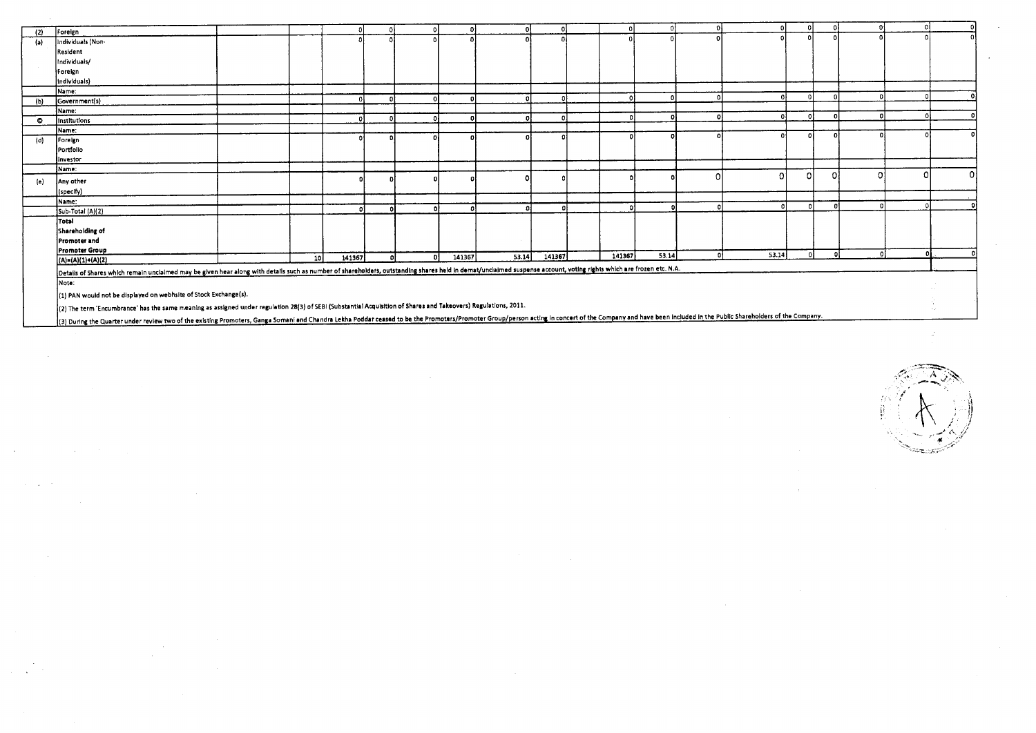| (2)       | Foreign                                                                                                                                                                                                             |                 |        |              |    |        |       |          |        |       |       |  |   |   |
|-----------|---------------------------------------------------------------------------------------------------------------------------------------------------------------------------------------------------------------------|-----------------|--------|--------------|----|--------|-------|----------|--------|-------|-------|--|---|---|
| (a)       | Individuals (Non-                                                                                                                                                                                                   |                 |        |              |    |        |       |          |        |       |       |  |   |   |
|           | Resident                                                                                                                                                                                                            |                 |        |              |    |        |       |          |        |       |       |  |   |   |
|           | Individuals/                                                                                                                                                                                                        |                 |        |              |    |        |       |          |        |       |       |  |   |   |
|           |                                                                                                                                                                                                                     |                 |        |              |    |        |       |          |        |       |       |  |   |   |
|           | Foreign                                                                                                                                                                                                             |                 |        |              |    |        |       |          |        |       |       |  |   |   |
|           | Individuals)                                                                                                                                                                                                        |                 |        |              |    |        |       |          |        |       |       |  |   |   |
|           | Name:                                                                                                                                                                                                               |                 |        | n.           |    |        |       | $\Omega$ |        |       |       |  |   |   |
| (b)       | Government(s)                                                                                                                                                                                                       |                 |        |              |    |        |       |          |        |       |       |  |   |   |
|           | Name:                                                                                                                                                                                                               |                 |        | $\mathbf{a}$ |    |        |       | o        |        |       |       |  |   |   |
| $\bullet$ | Institutions                                                                                                                                                                                                        |                 |        |              |    |        |       |          |        |       |       |  |   |   |
|           | Name:                                                                                                                                                                                                               |                 |        |              |    |        |       |          |        |       |       |  |   |   |
| (d)       | Foreign                                                                                                                                                                                                             |                 |        |              |    |        |       |          |        |       |       |  |   |   |
|           | Portfolio                                                                                                                                                                                                           |                 |        |              |    |        |       |          |        |       |       |  |   |   |
|           | linvestor                                                                                                                                                                                                           |                 |        |              |    |        |       |          |        |       |       |  |   |   |
|           | Name:                                                                                                                                                                                                               |                 |        |              |    |        |       |          |        |       |       |  | n | Ω |
| (e)       | Any other                                                                                                                                                                                                           |                 |        |              |    |        |       |          |        |       |       |  |   |   |
|           | (specify)                                                                                                                                                                                                           |                 |        |              |    |        |       |          |        |       |       |  |   |   |
|           | Name:                                                                                                                                                                                                               |                 |        |              |    |        |       |          |        |       |       |  |   |   |
|           | Sub-Total (A)(2)                                                                                                                                                                                                    |                 |        | $\mathbf{O}$ |    |        |       | o        |        |       |       |  |   |   |
|           | Total                                                                                                                                                                                                               |                 |        |              |    |        |       |          |        |       |       |  |   |   |
|           | Shareholding of                                                                                                                                                                                                     |                 |        |              |    |        |       |          |        |       |       |  |   |   |
|           | <b>Promoter and</b>                                                                                                                                                                                                 |                 |        |              |    |        |       |          |        |       |       |  |   |   |
|           | <b>Promoter Group</b>                                                                                                                                                                                               |                 |        |              |    |        |       |          | 141367 | 53.14 | 53.14 |  |   |   |
|           | $(A)=(A)(1)+(A)(2)$                                                                                                                                                                                                 | 10 <sup>1</sup> | 141367 | ΩI           | οI | 141367 | 53.14 | 141367   |        |       |       |  |   |   |
|           | Details of Shares which remain unclaimed may be given hear along with details such as number of shareholders, outstanding shares held in demat/unclaimed suspense account, voting rights which are frozen etc. N.A. |                 |        |              |    |        |       |          |        |       |       |  |   |   |
|           | Note:                                                                                                                                                                                                               |                 |        |              |    |        |       |          |        |       |       |  |   |   |
|           | (1) PAN would not be displayed on webhsite of Stock Exchange(s).                                                                                                                                                    |                 |        |              |    |        |       |          |        |       |       |  |   |   |
|           | {(2) The term 'Encumbrance' has the same meaning as assigned under regulation 28(3) of SEBI (Substantial Acquisition of Shares and Takeovers) Regulations, 2011.                                                    |                 |        |              |    |        |       |          |        |       | .     |  |   |   |

(3) During the Quarter under review two of the existing Promoters, Ganga Somani and Chandra Lekha Poddar ceased to be the Promoters/Promoter Group/person acting in concert of the Company and have been included in the Publi

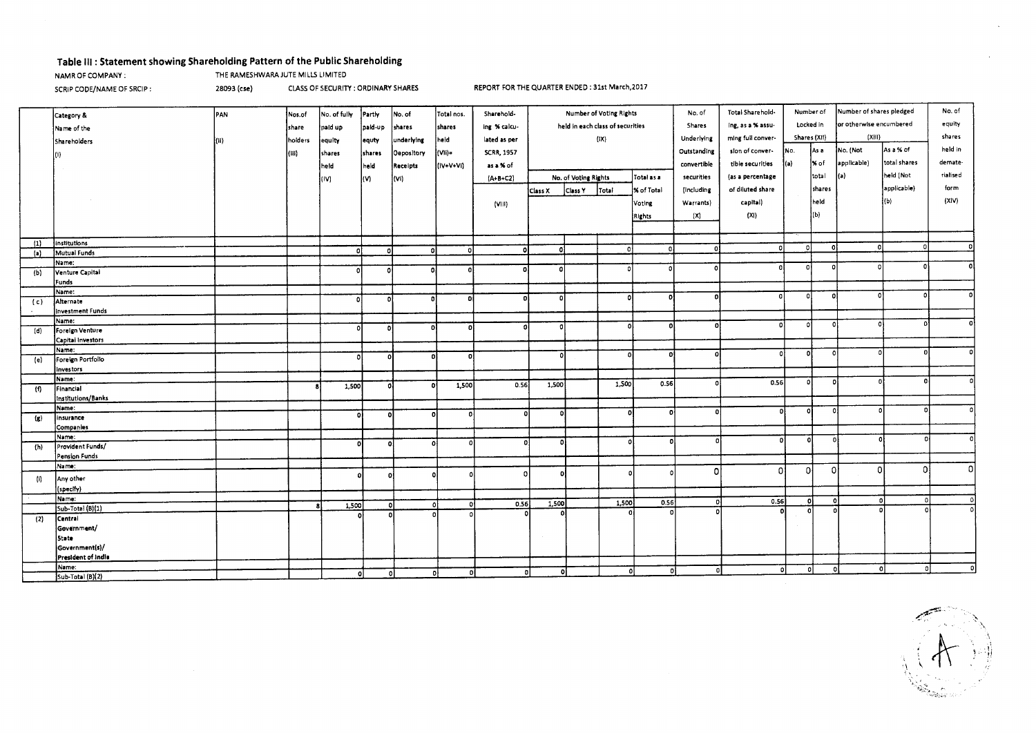### **Table Ill : Statement showing Shareholding Pattern of the Public Shareholding**

NAMR OF COMPANY : THE RAMESHWARA JUTE MILLS LIMITED

SCRIP CODE/NAME OF SRCIP : 28093 (cse) CLASS OF SECURITY : ORDINARY SHARES REPORT FOR THE QUARTER ENDED : 31st March,2017

|                            | Category &                  | <b>PAN</b> | Nos.of  | No. of fully | Partly   | No. of     | Total nos. | Sharehold-        | <b>Number of Voting Rights</b>   |                      |                   | No. of                         | Total Sharehold- | Number of         |                         | Number of shares pledged | No. of      |              |          |
|----------------------------|-----------------------------|------------|---------|--------------|----------|------------|------------|-------------------|----------------------------------|----------------------|-------------------|--------------------------------|------------------|-------------------|-------------------------|--------------------------|-------------|--------------|----------|
|                            | Name of the                 |            | share   | paid up      | paid-up  | shares     | shares     | ing % calcu-      | held in each class of securities |                      | Shares            | Locked in<br>ing, as a % assu- |                  |                   | or otherwise encumbered | equity                   |             |              |          |
|                            |                             |            |         |              |          |            |            |                   |                                  |                      |                   |                                | Underlying       | ming full conver- | Shares (XII)            |                          | (XIII)      |              | shares   |
|                            | Shareholders                | l(ii)      | holders | equity       | equty    | underlying | held       | lated as per      |                                  |                      | $( X\rangle)$     |                                |                  |                   |                         |                          |             |              | held in  |
|                            |                             |            | (iii)   | shares       | shares   | Oepository | (Vìi)=     | <b>SCRR, 1957</b> |                                  |                      |                   |                                | Outstanding      | sion of conver-   | No.                     | as a                     | No. (Not    | As a % of    |          |
|                            |                             |            |         | held         | held     | Receipts   | (IV+V+Vi)  | as a % of         |                                  |                      |                   |                                | convertible      | tible securities  | (a)                     | % of                     | applicable) | total shares | demate-  |
|                            |                             |            |         | (IV)         | l(V)     | (Vi)       |            | $(A+B+C2)$        |                                  | No. of Voting Rights |                   | Total as a                     | securities       | (as a percentage  |                         | total                    | (a)         | held (Not    | rialised |
|                            |                             |            |         |              |          |            |            |                   | Class X                          | Class Y              | Total             | % of Total                     | (Including       | of diluted share  |                         | shares                   |             | applicable)  | form     |
|                            |                             |            |         |              |          |            |            |                   |                                  |                      |                   |                                |                  |                   |                         | held                     |             | l(b)         | (X V)    |
|                            |                             |            |         |              |          |            |            | (VIII)            |                                  |                      |                   | Voting                         | Warrants)        | capital)          |                         |                          |             |              |          |
|                            |                             |            |         |              |          |            |            |                   |                                  |                      |                   | Rights                         | (X)              | (X <sub>1</sub> ) |                         | (b)                      |             |              |          |
|                            |                             |            |         |              |          |            |            |                   |                                  |                      |                   |                                |                  |                   |                         |                          |             |              |          |
| (1)                        | institutions                |            |         |              |          |            |            |                   |                                  |                      |                   |                                |                  |                   |                         |                          |             |              |          |
| (a)                        | Mutual Funds                |            |         | n            |          | n          |            | n                 | ol                               |                      | - o l             | - o l                          | -ol              | $\Omega$          | n                       | $\Omega$                 | $\Omega$    | $\Omega$     |          |
|                            | Name:                       |            |         |              |          |            |            |                   |                                  |                      |                   |                                |                  |                   |                         |                          |             |              |          |
| (b)                        | Venture Capital             |            |         | ol           | $\Omega$ | ٥          |            |                   | -o l                             |                      | $\Omega$          |                                | $\Omega$         | o                 | οl                      | n                        |             |              |          |
|                            | Funds                       |            |         |              |          |            |            |                   |                                  |                      |                   |                                |                  |                   |                         |                          |             |              |          |
|                            | Name:                       |            |         |              |          |            |            |                   |                                  |                      |                   |                                |                  |                   | οl                      |                          |             |              |          |
| (c)                        | Alternate                   |            |         | ol           | $\Omega$ | ٥I         | n          |                   |                                  |                      | o                 |                                | $\Omega$         | οl                |                         | $\mathbf o$              |             |              |          |
|                            | <b>Investment Funds</b>     |            |         |              |          |            |            |                   |                                  |                      |                   |                                |                  |                   |                         |                          |             |              |          |
|                            | Name:                       |            |         |              |          |            |            |                   |                                  |                      |                   |                                | D.               | 01                | -01                     | $\Omega$                 |             |              |          |
| (d)                        | Foreign Venture             |            |         | o            | D        | n          | n          |                   | n                                |                      |                   |                                |                  |                   |                         |                          |             |              |          |
|                            | Capital Investors           |            |         |              |          |            |            |                   |                                  |                      |                   |                                |                  |                   |                         |                          |             |              |          |
|                            | Name:                       |            |         | ٥l           | O        |            | D.         |                   | $\Omega$                         |                      |                   | n                              |                  | Ωł                | o                       | 0                        |             |              |          |
| (e)                        | Foreign Portfolio           |            |         |              |          |            |            |                   |                                  |                      |                   |                                |                  |                   |                         |                          |             |              |          |
|                            | investors                   |            |         |              |          |            |            |                   |                                  |                      |                   |                                |                  |                   |                         |                          |             |              |          |
|                            | Name:                       |            |         | 1,500        | o        |            | 1,500      | 0.56              | 1,500                            |                      | 1,500             | 0.56                           |                  | 0.56              | οI                      | o                        |             |              |          |
| (f)                        | Financial                   |            |         |              |          |            |            |                   |                                  |                      |                   |                                |                  |                   |                         |                          |             |              |          |
|                            | Institutions/Banks<br>Name: |            |         |              |          |            |            |                   |                                  |                      |                   |                                |                  |                   |                         |                          |             |              |          |
| $\left( \mathbf{z}\right)$ | insurance                   |            |         | οl           | οl       | $\Omega$   | οł         | D                 | o                                |                      |                   | n                              | D.               | $\Omega$          | $\Omega$                | -O                       | $\Omega$    |              |          |
|                            | Companies                   |            |         |              |          |            |            |                   |                                  |                      |                   |                                |                  |                   |                         |                          |             |              |          |
|                            | Name:                       |            |         |              |          |            |            |                   |                                  |                      |                   |                                |                  | o                 | 0                       | $\Omega$                 |             |              | ΩI       |
| (1)                        | Provident Funds/            |            |         | O.           | οl       | $\Omega$   |            | D                 | -ol                              |                      | $\Omega$          |                                |                  |                   |                         |                          |             |              |          |
|                            | Pension Funds               |            |         |              |          |            |            |                   |                                  |                      |                   |                                |                  |                   |                         |                          |             |              |          |
|                            | Name:                       |            |         |              |          |            |            |                   |                                  |                      |                   |                                | $\Omega$         | n                 | οl                      | 0l                       | $\Omega$    | $\Omega$     | -O I     |
| $\sqrt{n}$                 | Any other                   |            |         | $\Omega$     | o        |            |            | Ω                 | $\Omega$                         |                      |                   | O                              |                  |                   |                         |                          |             |              |          |
|                            | specify)                    |            |         |              |          |            |            |                   |                                  |                      |                   |                                |                  |                   |                         |                          |             |              |          |
|                            | Name:                       |            |         |              |          |            |            |                   |                                  |                      |                   |                                | ol               | 0.56              | $\mathbf 0$             | - o l                    |             | ΩI           | o        |
|                            | Sub-Total (B)(1)            |            |         | 1,500        | o        |            |            | 0.56              | 1,500                            |                      | 1,500<br>$\Omega$ | 0.56<br>n.                     | -o l             |                   | $\Omega$                | $\Omega$                 |             |              |          |
| (2)                        | Centrai                     |            |         |              | D.       |            |            |                   | $\Omega$                         |                      |                   |                                |                  |                   |                         |                          |             |              |          |
|                            | Government/                 |            |         |              |          |            |            |                   |                                  |                      |                   |                                |                  |                   |                         |                          |             |              |          |
|                            | State                       |            |         |              |          |            |            |                   |                                  |                      |                   |                                |                  |                   |                         |                          |             |              |          |
|                            | Government(s)/              |            |         |              |          |            |            |                   |                                  |                      |                   |                                |                  |                   |                         |                          |             |              |          |
|                            | President of India          |            |         |              |          |            |            |                   |                                  |                      |                   |                                |                  |                   |                         |                          |             |              |          |
|                            | Name:                       |            |         |              | o        |            | ٥ł<br>οl   | οI                | n.                               |                      | $\Omega$          |                                | $\Omega$         | $\Omega$          | - Ol                    |                          |             | $^{\circ}$   | $\Omega$ |
|                            | Sub-Total (B)(2)            |            |         | οl           |          |            |            |                   |                                  |                      |                   |                                |                  |                   |                         |                          |             |              |          |

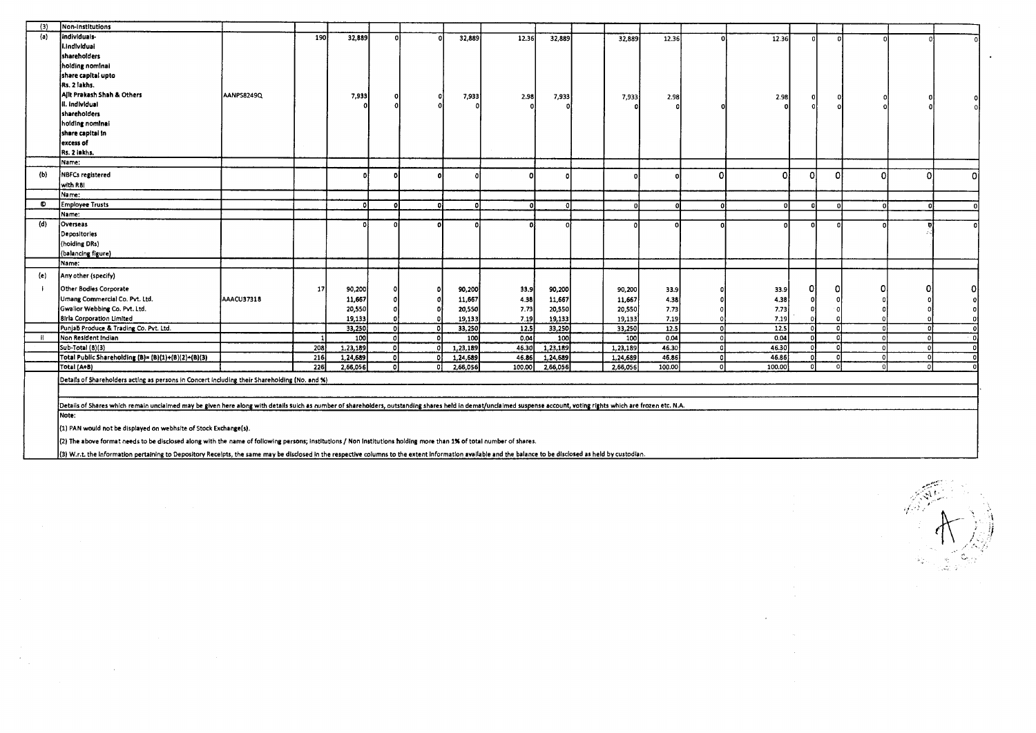| (3)          | Non-Institutions                                                                                                                                                                                                     |            |                  |              |    |          |        |          |          |             |    |          |          |          |            |    |
|--------------|----------------------------------------------------------------------------------------------------------------------------------------------------------------------------------------------------------------------|------------|------------------|--------------|----|----------|--------|----------|----------|-------------|----|----------|----------|----------|------------|----|
| (a)          | individuals-                                                                                                                                                                                                         |            | <b>190</b>       | 32,889       |    | 32,889   | 12.36  | 32,889   | 32,889   | 12.36       | ΩI | 12.36    |          | n        |            |    |
|              | I.Individual                                                                                                                                                                                                         |            |                  |              |    |          |        |          |          |             |    |          |          |          |            |    |
|              | shareholders                                                                                                                                                                                                         |            |                  |              |    |          |        |          |          |             |    |          |          |          |            |    |
|              | holding nominal                                                                                                                                                                                                      |            |                  |              |    |          |        |          |          |             |    |          |          |          |            |    |
|              | share capital upto                                                                                                                                                                                                   |            |                  |              |    |          |        |          |          |             |    |          |          |          |            |    |
|              | Rs. 2 lakhs.                                                                                                                                                                                                         |            |                  |              |    |          |        |          |          |             |    |          |          |          |            |    |
|              | Ailt Prakash Shah & Others                                                                                                                                                                                           | AANPS8249Q |                  | 7,933        |    | 7,933    | 2.98   | 7,933    | 7,933    | 2.98        |    | 2.98     |          |          |            |    |
|              | ii. individual                                                                                                                                                                                                       |            |                  |              |    |          |        |          |          |             |    |          |          |          |            |    |
|              | shareholders                                                                                                                                                                                                         |            |                  |              |    |          |        |          |          |             |    |          |          |          |            |    |
|              | holding nominal                                                                                                                                                                                                      |            |                  |              |    |          |        |          |          |             |    |          |          |          |            |    |
|              | share capital in                                                                                                                                                                                                     |            |                  |              |    |          |        |          |          |             |    |          |          |          |            |    |
|              | excess of                                                                                                                                                                                                            |            |                  |              |    |          |        |          |          |             |    |          |          |          |            |    |
|              | Rs. 2 iekhs.                                                                                                                                                                                                         |            |                  |              |    |          |        |          |          |             |    |          |          |          |            |    |
|              | Name:                                                                                                                                                                                                                |            |                  |              |    |          |        |          |          |             |    |          |          |          |            |    |
| (b)          | NBFCs registered                                                                                                                                                                                                     |            |                  |              |    |          |        |          |          |             |    | $\Omega$ | C)       | Ω        | οl         | οl |
|              | with R8I                                                                                                                                                                                                             |            |                  |              |    |          |        |          |          |             |    |          |          |          |            |    |
|              | Name:                                                                                                                                                                                                                |            |                  |              |    |          |        |          |          |             |    |          |          |          |            |    |
| $\bullet$    | Employee Trusts                                                                                                                                                                                                      |            |                  | $\mathbf{a}$ |    |          |        |          |          |             |    |          |          |          |            |    |
|              | Name:                                                                                                                                                                                                                |            |                  |              |    |          |        |          |          |             |    |          |          |          |            |    |
| (d)          | Overseas                                                                                                                                                                                                             |            |                  |              |    |          |        |          |          |             |    |          |          |          |            |    |
|              | Depositories                                                                                                                                                                                                         |            |                  |              |    |          |        |          |          |             |    |          |          |          |            |    |
|              | (hoiding DRs)                                                                                                                                                                                                        |            |                  |              |    |          |        |          |          |             |    |          |          |          |            |    |
|              | (balancing figure)                                                                                                                                                                                                   |            |                  |              |    |          |        |          |          |             |    |          |          |          |            |    |
|              | Name:                                                                                                                                                                                                                |            |                  |              |    |          |        |          |          |             |    |          |          |          |            |    |
| (e)          | Any other (specify)                                                                                                                                                                                                  |            |                  |              |    |          |        |          |          |             |    |          |          |          |            |    |
| $\mathbf{i}$ | Other Bodies Corporate                                                                                                                                                                                               |            | 17               | 90,200       |    | 90,200   | 33,9   | 90,200   | 90,200   | 33.9        |    | 33.9     | ΩI       |          |            |    |
|              | Umang Commercial Co. Pvt. Ltd.                                                                                                                                                                                       | AAACU37318 |                  | 11,667       |    | 11,667   | 4.38   | 11,667   | 11,667   | 4.38        |    | 4.38     |          |          |            |    |
|              | Gwalior Webbing Co. Pvt. Ltd.                                                                                                                                                                                        |            |                  | 20,550       |    | 20,550   | 7.73   | 20,550   | 20,550   | 7.73        |    | 7.73     |          |          |            |    |
|              | <b>8irla Corporation Limited</b>                                                                                                                                                                                     |            |                  | 19,133       |    | 19,133   | 7.19   | 19,133   | 19,133   | 7.19        |    | 7.19     |          |          |            |    |
|              | Punjab Produce & Trading Co. Pvt. Ltd.                                                                                                                                                                               |            |                  | 33,250       |    | 33,250   | 12.5   | 33,250   | 33,250   | 12.5        |    | 12.5     | $\Omega$ |          | $\sqrt{2}$ |    |
|              | Non Resident Indian                                                                                                                                                                                                  |            |                  | 100          | n. | 100      | 0.04   | 100      |          | 100<br>0.04 |    | 0.04     | οI       | $\Omega$ | $\Omega$   |    |
|              | Sub-Total (8)(3)                                                                                                                                                                                                     |            | 208              | 1,23,189     | οl | 1,23,189 | 46.30  | 1,23,189 | 1,23,189 | 46.30       |    | 46.30    | $\Omega$ |          | $\Omega$   |    |
|              | Total Public Shareholding (B)= (B)(1)+(B)(2)+(B)(3)                                                                                                                                                                  |            | 216              | 1,24,689     | n  | 1,24,689 | 46.86  | 1,24,689 | 1,24,689 | 46.86       |    | 46.86    |          |          | $\Omega$   |    |
|              | Total (A+B)                                                                                                                                                                                                          |            | $\overline{226}$ | 2,66,056     | 01 | 2,66,056 | 100.00 | 2,66,056 | 2,66,056 | 100.00      | οl | 100.00   | $\Omega$ |          | $\Omega$   |    |
|              | (Details of Shareholders acting as persons in Concert including their Shareholding (No. and %)                                                                                                                       |            |                  |              |    |          |        |          |          |             |    |          |          |          |            |    |
|              |                                                                                                                                                                                                                      |            |                  |              |    |          |        |          |          |             |    |          |          |          |            |    |
|              |                                                                                                                                                                                                                      |            |                  |              |    |          |        |          |          |             |    |          |          |          |            |    |
|              | Details of Shares which remain unclaimed may be given here along with details suich as number of shareholders, outstanding shares held in demat/unclaimed suspense account, voting rights which are frozen etc. N.A. |            |                  |              |    |          |        |          |          |             |    |          |          |          |            |    |
|              | Note:                                                                                                                                                                                                                |            |                  |              |    |          |        |          |          |             |    |          |          |          |            |    |
|              | (1) PAN would not be displayed on webhsite of Stock Exchange(s).                                                                                                                                                     |            |                  |              |    |          |        |          |          |             |    |          |          |          |            |    |
|              | (2) The above format needs to be disclosed along with the name of following persons; institutions / Non Institutions holding more than 1% of total number of shares.                                                 |            |                  |              |    |          |        |          |          |             |    |          |          |          |            |    |
|              | (3) W r.t, the information pertaining to Depository Receipts, the same may be disclosed in the respective columns to the extent information available and the balance to be disclosed as held by custodian.          |            |                  |              |    |          |        |          |          |             |    |          |          |          |            |    |

(3) W.r.t. the information pertaining to Depository Receipts, the same may be disclosed in the respective columns to the extent information available and the balance to be disclosed as held by custodian.

 $\frac{1}{2} \frac{1}{2} \frac{1}{2}$